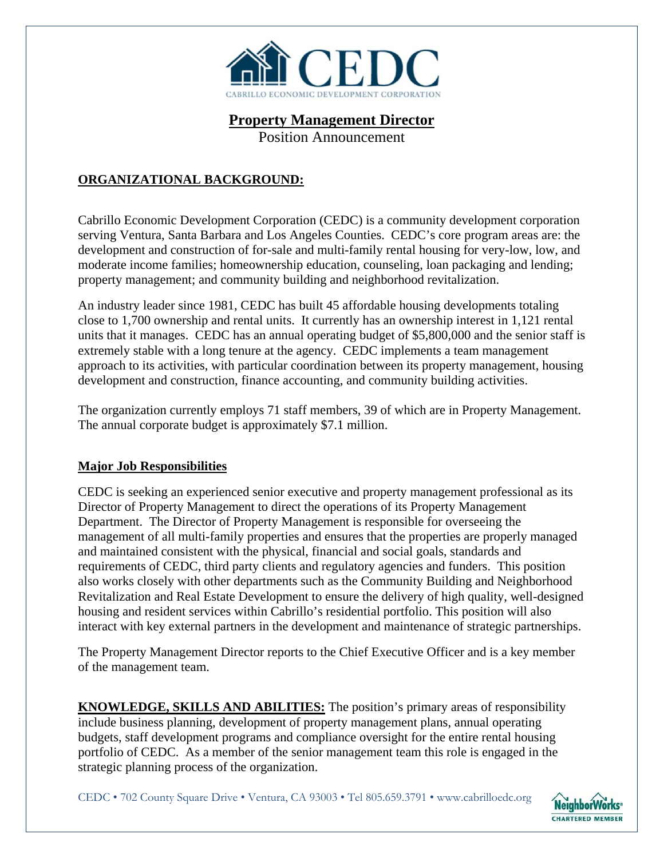

# **Property Management Director**

Position Announcement

## **ORGANIZATIONAL BACKGROUND:**

Cabrillo Economic Development Corporation (CEDC) is a community development corporation serving Ventura, Santa Barbara and Los Angeles Counties. CEDC's core program areas are: the development and construction of for-sale and multi-family rental housing for very-low, low, and moderate income families; homeownership education, counseling, loan packaging and lending; property management; and community building and neighborhood revitalization.

An industry leader since 1981, CEDC has built 45 affordable housing developments totaling close to 1,700 ownership and rental units. It currently has an ownership interest in 1,121 rental units that it manages. CEDC has an annual operating budget of \$5,800,000 and the senior staff is extremely stable with a long tenure at the agency. CEDC implements a team management approach to its activities, with particular coordination between its property management, housing development and construction, finance accounting, and community building activities.

The organization currently employs 71 staff members, 39 of which are in Property Management. The annual corporate budget is approximately \$7.1 million.

### **Major Job Responsibilities**

CEDC is seeking an experienced senior executive and property management professional as its Director of Property Management to direct the operations of its Property Management Department. The Director of Property Management is responsible for overseeing the management of all multi-family properties and ensures that the properties are properly managed and maintained consistent with the physical, financial and social goals, standards and requirements of CEDC, third party clients and regulatory agencies and funders. This position also works closely with other departments such as the Community Building and Neighborhood Revitalization and Real Estate Development to ensure the delivery of high quality, well-designed housing and resident services within Cabrillo's residential portfolio. This position will also interact with key external partners in the development and maintenance of strategic partnerships.

The Property Management Director reports to the Chief Executive Officer and is a key member of the management team.

**KNOWLEDGE, SKILLS AND ABILITIES:** The position's primary areas of responsibility include business planning, development of property management plans, annual operating budgets, staff development programs and compliance oversight for the entire rental housing portfolio of CEDC. As a member of the senior management team this role is engaged in the strategic planning process of the organization.

CEDC • 702 County Square Drive • Ventura, CA 93003 • Tel 805.659.3791 • www.cabrilloedc.org

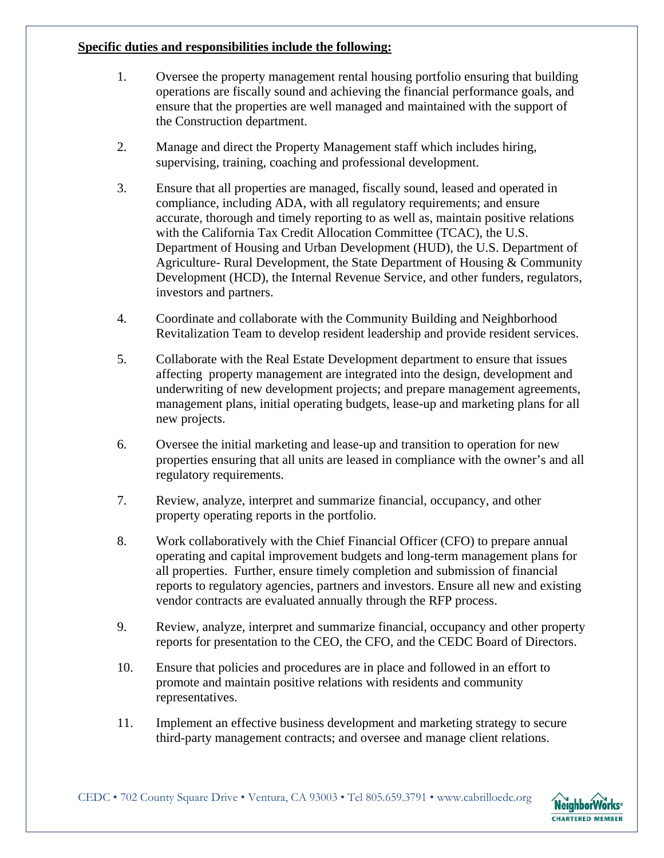### **Specific duties and responsibilities include the following:**

- 1. Oversee the property management rental housing portfolio ensuring that building operations are fiscally sound and achieving the financial performance goals, and ensure that the properties are well managed and maintained with the support of the Construction department.
- 2. Manage and direct the Property Management staff which includes hiring, supervising, training, coaching and professional development.
- 3. Ensure that all properties are managed, fiscally sound, leased and operated in compliance, including ADA, with all regulatory requirements; and ensure accurate, thorough and timely reporting to as well as, maintain positive relations with the California Tax Credit Allocation Committee (TCAC), the U.S. Department of Housing and Urban Development (HUD), the U.S. Department of Agriculture- Rural Development, the State Department of Housing & Community Development (HCD), the Internal Revenue Service, and other funders, regulators, investors and partners.
- 4. Coordinate and collaborate with the Community Building and Neighborhood Revitalization Team to develop resident leadership and provide resident services.
- 5. Collaborate with the Real Estate Development department to ensure that issues affecting property management are integrated into the design, development and underwriting of new development projects; and prepare management agreements, management plans, initial operating budgets, lease-up and marketing plans for all new projects.
- 6. Oversee the initial marketing and lease-up and transition to operation for new properties ensuring that all units are leased in compliance with the owner's and all regulatory requirements.
- 7. Review, analyze, interpret and summarize financial, occupancy, and other property operating reports in the portfolio.
- 8. Work collaboratively with the Chief Financial Officer (CFO) to prepare annual operating and capital improvement budgets and long-term management plans for all properties. Further, ensure timely completion and submission of financial reports to regulatory agencies, partners and investors. Ensure all new and existing vendor contracts are evaluated annually through the RFP process.
- 9. Review, analyze, interpret and summarize financial, occupancy and other property reports for presentation to the CEO, the CFO, and the CEDC Board of Directors.
- 10. Ensure that policies and procedures are in place and followed in an effort to promote and maintain positive relations with residents and community representatives.
- 11. Implement an effective business development and marketing strategy to secure third-party management contracts; and oversee and manage client relations.